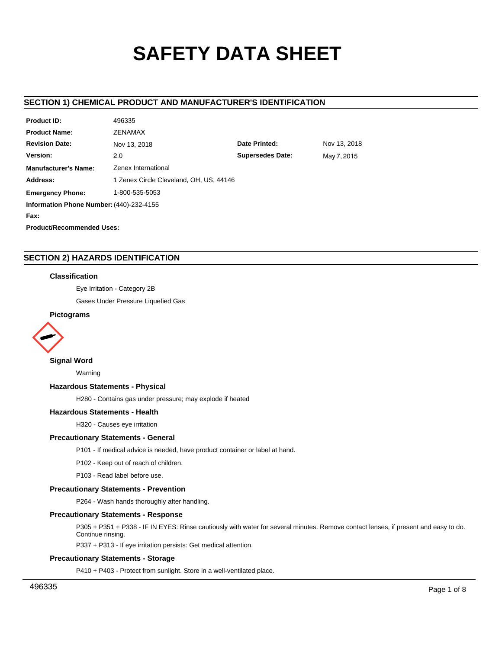# **SAFETY DATA SHEET**

# **SECTION 1) CHEMICAL PRODUCT AND MANUFACTURER'S IDENTIFICATION**

| <b>Product ID:</b>                       | 496335                                  |                         |              |  |  |
|------------------------------------------|-----------------------------------------|-------------------------|--------------|--|--|
| <b>Product Name:</b>                     | ZENAMAX                                 |                         |              |  |  |
| <b>Revision Date:</b>                    | Nov 13, 2018                            | Date Printed:           | Nov 13, 2018 |  |  |
| Version:                                 | 2.0                                     | <b>Supersedes Date:</b> | May 7, 2015  |  |  |
| <b>Manufacturer's Name:</b>              | Zenex International                     |                         |              |  |  |
| Address:                                 | 1 Zenex Circle Cleveland, OH, US, 44146 |                         |              |  |  |
| <b>Emergency Phone:</b>                  | 1-800-535-5053                          |                         |              |  |  |
| Information Phone Number: (440)-232-4155 |                                         |                         |              |  |  |
| Fax:                                     |                                         |                         |              |  |  |
| <b>Product/Recommended Uses:</b>         |                                         |                         |              |  |  |

# **SECTION 2) HAZARDS IDENTIFICATION**

### **Classification**

Eye Irritation - Category 2B

Gases Under Pressure Liquefied Gas

# **Pictograms**



# **Signal Word**

Warning

### **Hazardous Statements - Physical**

H280 - Contains gas under pressure; may explode if heated

### **Hazardous Statements - Health**

H320 - Causes eye irritation

### **Precautionary Statements - General**

P101 - If medical advice is needed, have product container or label at hand.

P102 - Keep out of reach of children.

P103 - Read label before use.

### **Precautionary Statements - Prevention**

P264 - Wash hands thoroughly after handling.

### **Precautionary Statements - Response**

P305 + P351 + P338 - IF IN EYES: Rinse cautiously with water for several minutes. Remove contact lenses, if present and easy to do. Continue rinsing.

P337 + P313 - If eye irritation persists: Get medical attention.

### **Precautionary Statements - Storage**

P410 + P403 - Protect from sunlight. Store in a well-ventilated place.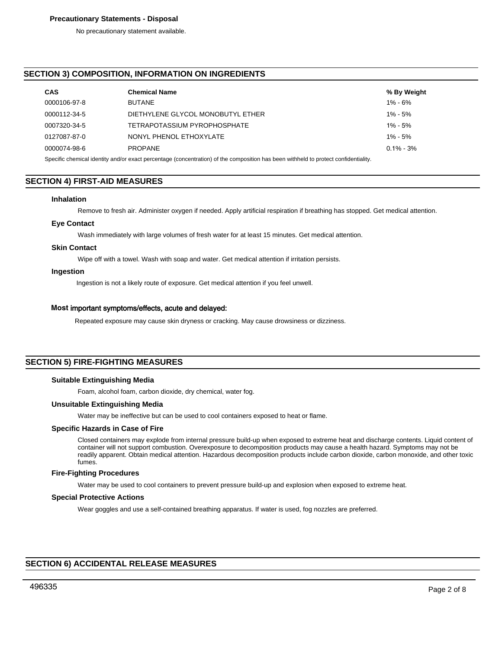### **Precautionary Statements - Disposal**

No precautionary statement available.

# **SECTION 3) COMPOSITION, INFORMATION ON INGREDIENTS**

| <b>CAS</b>   | <b>Chemical Name</b>                                                                                            | % By Weight   |
|--------------|-----------------------------------------------------------------------------------------------------------------|---------------|
| 0000106-97-8 | <b>BUTANE</b>                                                                                                   | $1\% - 6\%$   |
| 0000112-34-5 | DIETHYLENE GLYCOL MONOBUTYL ETHER                                                                               | $1\% - 5\%$   |
| 0007320-34-5 | TETRAPOTASSIUM PYROPHOSPHATE                                                                                    | $1\% - 5\%$   |
| 0127087-87-0 | NONYL PHENOL ETHOXYLATE                                                                                         | $1\% - 5\%$   |
| 0000074-98-6 | <b>PROPANE</b>                                                                                                  | $0.1\% - 3\%$ |
|              | the contract of the contract of the contract of the contract of the contract of the contract of the contract of |               |

Specific chemical identity and/or exact percentage (concentration) of the composition has been withheld to protect confidentiality.

### **SECTION 4) FIRST-AID MEASURES**

### **Inhalation**

Remove to fresh air. Administer oxygen if needed. Apply artificial respiration if breathing has stopped. Get medical attention.

### **Eye Contact**

Wash immediately with large volumes of fresh water for at least 15 minutes. Get medical attention.

### **Skin Contact**

Wipe off with a towel. Wash with soap and water. Get medical attention if irritation persists.

### **Ingestion**

Ingestion is not a likely route of exposure. Get medical attention if you feel unwell.

### **Most** important symptoms/effects, acute and delayed:

Repeated exposure may cause skin dryness or cracking. May cause drowsiness or dizziness.

# **SECTION 5) FIRE-FIGHTING MEASURES**

### **Suitable Extinguishing Media**

Foam, alcohol foam, carbon dioxide, dry chemical, water fog.

### **Unsuitable Extinguishing Media**

Water may be ineffective but can be used to cool containers exposed to heat or flame.

# **Specific Hazards in Case of Fire**

Closed containers may explode from internal pressure build-up when exposed to extreme heat and discharge contents. Liquid content of container will not support combustion. Overexposure to decomposition products may cause a health hazard. Symptoms may not be readily apparent. Obtain medical attention. Hazardous decomposition products include carbon dioxide, carbon monoxide, and other toxic fumes.

#### **Fire-Fighting Procedures**

Water may be used to cool containers to prevent pressure build-up and explosion when exposed to extreme heat.

#### **Special Protective Actions**

Wear goggles and use a self-contained breathing apparatus. If water is used, fog nozzles are preferred.

# **SECTION 6) ACCIDENTAL RELEASE MEASURES**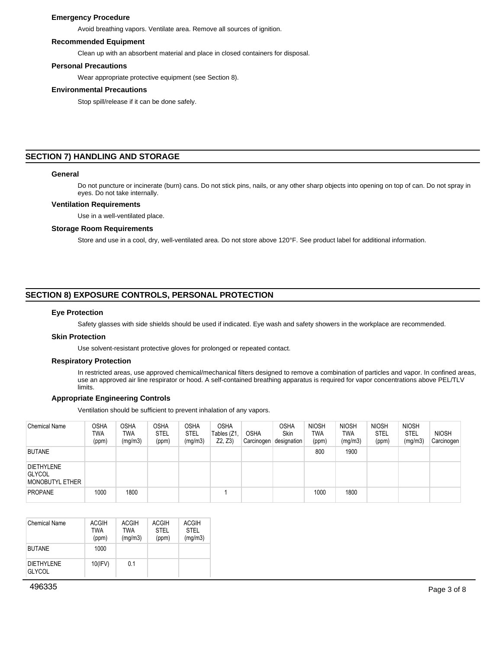### **Emergency Procedure**

Avoid breathing vapors. Ventilate area. Remove all sources of ignition.

### **Recommended Equipment**

Clean up with an absorbent material and place in closed containers for disposal.

#### **Personal Precautions**

Wear appropriate protective equipment (see Section 8).

### **Environmental Precautions**

Stop spill/release if it can be done safely.

### **SECTION 7) HANDLING AND STORAGE**

#### **General**

Do not puncture or incinerate (burn) cans. Do not stick pins, nails, or any other sharp objects into opening on top of can. Do not spray in eyes. Do not take internally.

#### **Ventilation Requirements**

Use in a well-ventilated place.

### **Storage Room Requirements**

Store and use in a cool, dry, well-ventilated area. Do not store above 120°F. See product label for additional information.

# **SECTION 8) EXPOSURE CONTROLS, PERSONAL PROTECTION**

#### **Eye Protection**

Safety glasses with side shields should be used if indicated. Eye wash and safety showers in the workplace are recommended.

### **Skin Protection**

Use solvent-resistant protective gloves for prolonged or repeated contact.

#### **Respiratory Protection**

In restricted areas, use approved chemical/mechanical filters designed to remove a combination of particles and vapor. In confined areas, use an approved air line respirator or hood. A self-contained breathing apparatus is required for vapor concentrations above PEL/TLV limits.

### **Appropriate Engineering Controls**

Ventilation should be sufficient to prevent inhalation of any vapors.

| <b>Chemical Name</b>                                  | <b>OSHA</b><br><b>TWA</b><br>(ppm) | <b>OSHA</b><br><b>TWA</b><br>(mg/m3) | <b>OSHA</b><br><b>STEL</b><br>(ppm) | <b>OSHA</b><br><b>STEL</b><br>(mg/m3) | <b>OSHA</b><br>Tables (Z1<br>Z2, Z3 | <b>OSHA</b><br>Carcinogen | <b>OSHA</b><br>Skin<br>designation | <b>NIOSH</b><br><b>TWA</b><br>(ppm) | <b>NIOSH</b><br>TWA<br>(mg/m3) | <b>NIOSH</b><br><b>STEL</b><br>(ppm) | <b>NIOSH</b><br><b>STEL</b><br>(mg/m3) | <b>NIOSH</b><br>Carcinogen |
|-------------------------------------------------------|------------------------------------|--------------------------------------|-------------------------------------|---------------------------------------|-------------------------------------|---------------------------|------------------------------------|-------------------------------------|--------------------------------|--------------------------------------|----------------------------------------|----------------------------|
| <b>BUTANE</b>                                         |                                    |                                      |                                     |                                       |                                     |                           |                                    | 800                                 | 1900                           |                                      |                                        |                            |
| <b>DIETHYLENE</b><br><b>GLYCOL</b><br>MONOBUTYL ETHER |                                    |                                      |                                     |                                       |                                     |                           |                                    |                                     |                                |                                      |                                        |                            |
| <b>PROPANE</b>                                        | 1000                               | 1800                                 |                                     |                                       |                                     |                           |                                    | 1000                                | 1800                           |                                      |                                        |                            |

| <b>Chemical Name</b>                | <b>ACGIH</b><br><b>TWA</b><br>(ppm) | ACGIH<br><b>TWA</b><br>(mq/m3) | ACGIH<br><b>STEL</b><br>(ppm) | <b>ACGIH</b><br><b>STEL</b><br>(mq/m3) |
|-------------------------------------|-------------------------------------|--------------------------------|-------------------------------|----------------------------------------|
| <b>BUTANE</b>                       | 1000                                |                                |                               |                                        |
| <b>DIFTHYI FNF</b><br><b>GLYCOL</b> | $10$ (IFV)                          | 01                             |                               |                                        |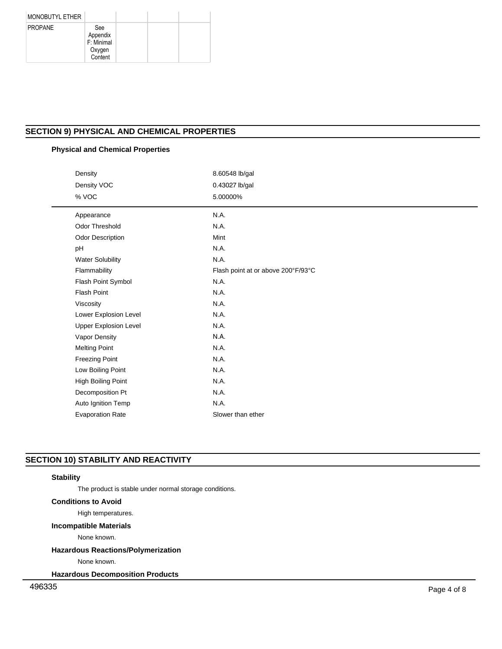| <b>MONOBUTYL ETHER</b> |                                                    |  |  |
|------------------------|----------------------------------------------------|--|--|
| <b>PROPANE</b>         | See<br>Appendix<br>F: Minimal<br>Oxygen<br>Content |  |  |

# **SECTION 9) PHYSICAL AND CHEMICAL PROPERTIES**

# **Physical and Chemical Properties**

| Density                      | 8.60548 lb/gal                     |  |
|------------------------------|------------------------------------|--|
| Density VOC                  | 0.43027 lb/gal                     |  |
| % VOC                        | 5.00000%                           |  |
|                              |                                    |  |
| Appearance                   | N.A.                               |  |
| <b>Odor Threshold</b>        | N.A.                               |  |
| Odor Description             | Mint                               |  |
| pH                           | N.A.                               |  |
| <b>Water Solubility</b>      | N.A.                               |  |
| Flammability                 | Flash point at or above 200°F/93°C |  |
| Flash Point Symbol           | N.A.                               |  |
| <b>Flash Point</b>           | N.A.                               |  |
| Viscosity                    | N.A.                               |  |
| Lower Explosion Level        | N.A.                               |  |
| <b>Upper Explosion Level</b> | N.A.                               |  |
| Vapor Density                | N.A.                               |  |
| <b>Melting Point</b>         | N.A.                               |  |
| <b>Freezing Point</b>        | N.A.                               |  |
| Low Boiling Point            | N.A.                               |  |
| High Boiling Point           | N.A.                               |  |
| Decomposition Pt             | N.A.                               |  |
| Auto Ignition Temp           | N.A.                               |  |
| <b>Evaporation Rate</b>      | Slower than ether                  |  |

# **SECTION 10) STABILITY AND REACTIVITY**

### **Stability**

The product is stable under normal storage conditions.

# **Conditions to Avoid**

High temperatures.

# **Incompatible Materials**

None known.

# **Hazardous Reactions/Polymerization**

None known.

**Hazardous Decomposition Products**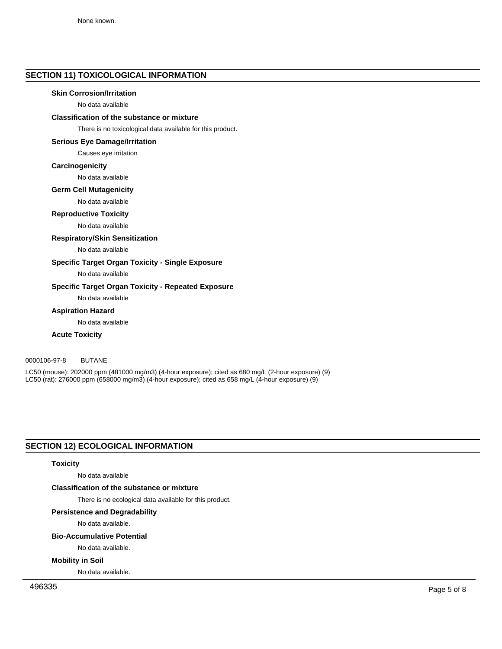# **SECTION 11) TOXICOLOGICAL INFORMATION**

### **Skin Corrosion/Irritation**

No data available

# **Classification of the substance or mixture**

There is no toxicological data available for this product.

### **Serious Eye Damage/Irritation**

Causes eye irritation

### **Carcinogenicity**

No data available

### **Germ Cell Mutagenicity**

No data available

### **Reproductive Toxicity**

No data available

### **Respiratory/Skin Sensitization**

No data available

# **Specific Target Organ Toxicity - Single Exposure**

No data available

### **Specific Target Organ Toxicity - Repeated Exposure**

No data available

### **Aspiration Hazard**

No data available

### **Acute Toxicity**

# 0000106-97-8 BUTANE

LC50 (mouse): 202000 ppm (481000 mg/m3) (4-hour exposure); cited as 680 mg/L (2-hour exposure) (9) LC50 (rat): 276000 ppm (658000 mg/m3) (4-hour exposure); cited as 658 mg/L (4-hour exposure) (9)

# **SECTION 12) ECOLOGICAL INFORMATION**

### **Toxicity**

No data available

### **Classification of the substance or mixture**

There is no ecological data available for this product.

### **Persistence and Degradability**

No data available.

### **Bio-Accumulative Potential**

No data available.

#### **Mobility in Soil**

No data available.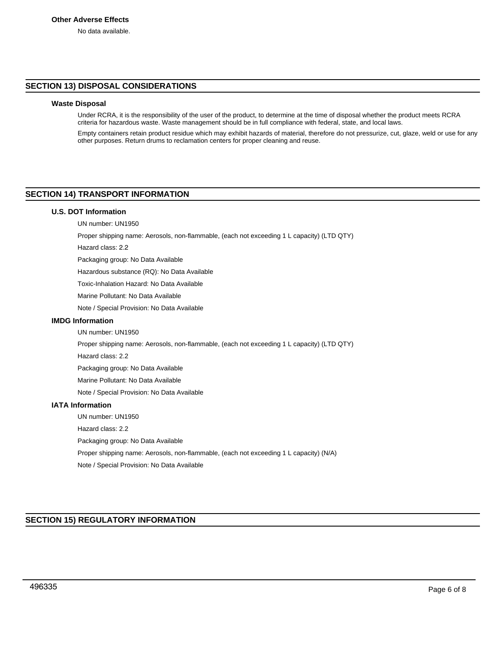# **SECTION 13) DISPOSAL CONSIDERATIONS**

### **Waste Disposal**

Under RCRA, it is the responsibility of the user of the product, to determine at the time of disposal whether the product meets RCRA criteria for hazardous waste. Waste management should be in full compliance with federal, state, and local laws.

Empty containers retain product residue which may exhibit hazards of material, therefore do not pressurize, cut, glaze, weld or use for any other purposes. Return drums to reclamation centers for proper cleaning and reuse.

# **SECTION 14) TRANSPORT INFORMATION**

### **U.S. DOT Information**

UN number: UN1950

Proper shipping name: Aerosols, non-flammable, (each not exceeding 1 L capacity) (LTD QTY)

Hazard class: 2.2

Packaging group: No Data Available

Hazardous substance (RQ): No Data Available

Toxic-Inhalation Hazard: No Data Available

Marine Pollutant: No Data Available

Note / Special Provision: No Data Available

# **IMDG Information**

UN number: UN1950

Proper shipping name: Aerosols, non-flammable, (each not exceeding 1 L capacity) (LTD QTY)

Hazard class: 2.2

Packaging group: No Data Available

Marine Pollutant: No Data Available

Note / Special Provision: No Data Available

# **IATA Information**

UN number: UN1950

Hazard class: 2.2

Packaging group: No Data Available

Proper shipping name: Aerosols, non-flammable, (each not exceeding 1 L capacity) (N/A)

Note / Special Provision: No Data Available

# **SECTION 15) REGULATORY INFORMATION**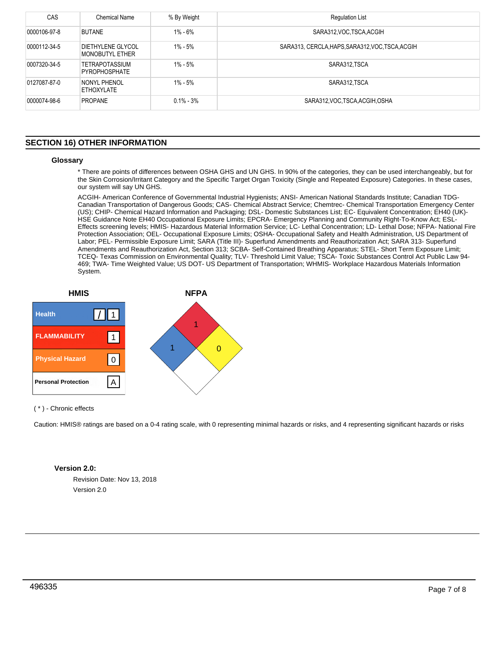| CAS          | Chemical Name                                 | % By Weight   | <b>Regulation List</b>                           |
|--------------|-----------------------------------------------|---------------|--------------------------------------------------|
| 0000106-97-8 | <b>BUTANE</b>                                 | 1% - 6%       | SARA312, VOC. TSCA, ACGIH                        |
| 0000112-34-5 | DIETHYLENE GLYCOL<br>MONOBUTYL ETHER          | 1% - 5%       | SARA313, CERCLA, HAPS, SARA312, VOC, TSCA, ACGIH |
| 0007320-34-5 | <b>TETRAPOTASSIUM</b><br><b>PYROPHOSPHATE</b> | 1% - 5%       | SARA312 TSCA                                     |
| 0127087-87-0 | NONYL PHENOL<br>ETHOXYLATE                    | 1% - 5%       | SARA312, TSCA                                    |
| 0000074-98-6 | <b>PROPANE</b>                                | $0.1\% - 3\%$ | SARA312, VOC, TSCA, ACGIH, OSHA                  |

# **SECTION 16) OTHER INFORMATION**

### **Glossary**

\* There are points of differences between OSHA GHS and UN GHS. In 90% of the categories, they can be used interchangeably, but for the Skin Corrosion/Irritant Category and the Specific Target Organ Toxicity (Single and Repeated Exposure) Categories. In these cases, our system will say UN GHS.

ACGIH- American Conference of Governmental Industrial Hygienists; ANSI- American National Standards Institute; Canadian TDG-Canadian Transportation of Dangerous Goods; CAS- Chemical Abstract Service; Chemtrec- Chemical Transportation Emergency Center (US); CHIP- Chemical Hazard Information and Packaging; DSL- Domestic Substances List; EC- Equivalent Concentration; EH40 (UK)- HSE Guidance Note EH40 Occupational Exposure Limits; EPCRA- Emergency Planning and Community Right-To-Know Act; ESL-Effects screening levels; HMIS- Hazardous Material Information Service; LC- Lethal Concentration; LD- Lethal Dose; NFPA- National Fire Protection Association; OEL- Occupational Exposure Limits; OSHA- Occupational Safety and Health Administration, US Department of Labor; PEL- Permissible Exposure Limit; SARA (Title III)- Superfund Amendments and Reauthorization Act; SARA 313- Superfund Amendments and Reauthorization Act, Section 313; SCBA- Self-Contained Breathing Apparatus; STEL- Short Term Exposure Limit; TCEQ- Texas Commission on Environmental Quality; TLV- Threshold Limit Value; TSCA- Toxic Substances Control Act Public Law 94- 469; TWA- Time Weighted Value; US DOT- US Department of Transportation; WHMIS- Workplace Hazardous Materials Information System.



( \* ) - Chronic effects

Caution: HMIS® ratings are based on a 0-4 rating scale, with 0 representing minimal hazards or risks, and 4 representing significant hazards or risks

# **Version 2.0:**

Revision Date: Nov 13, 2018 Version 2.0